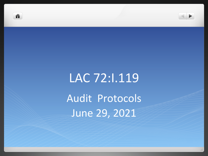



# LAC 72:1.119 Audit Protocols June 29, 2021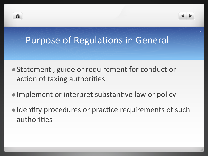



- Statement, guide or requirement for conduct or action of taxing authorities
- Implement or interpret substantive law or policy
- Identify procedures or practice requirements of such authorities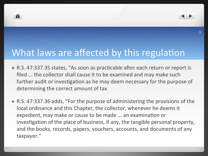



# What laws are affected by this regulation

- R.S. 47:337.35 states, "As soon as practicable after each return or report is filed ... the collector shall cause it to be examined and may make such further audit or investigation as he may deem necessary for the purpose of determining the correct amount of tax
- R.S. 47:337.36 adds, "For the purpose of administering the provisions of the local ordinance and this Chapter, the collector, whenever he deems it expedient, may make or cause to be made ... an examination or investigation of the place of business, if any, the tangible personal property, and the books, records, papers, vouchers, accounts, and documents of any taxpayer."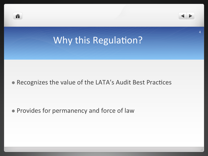

• Provides for permanency and force of law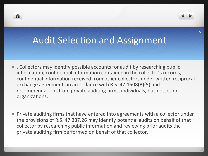

A

- Collectors may identify possible accounts for audit by researching public information, confidential information contained in the collector's records, confidential information received from other collectors under written reciprocal exchange agreements in accordance with R.S. 47:1508(B)(5) and recommendations from private auditing firms, individuals, businesses or organizations.
- Private auditing firms that have entered into agreements with a collector under the provisions of R.S. 47:337.26 may identify potential audits on behalf of that collector by researching public information and reviewing prior audits the private auditing firm performed on behalf of that collector.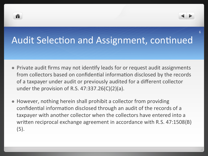



- Private audit firms may not identify leads for or request audit assignments from collectors based on confidential information disclosed by the records of a taxpayer under audit or previously audited for a different collector under the provision of R.S.  $47:337.26(C)(2)(a)$ .
- However, nothing herein shall prohibit a collector from providing confidential information disclosed through an audit of the records of a taxpayer with another collector when the collectors have entered into a written reciprocal exchange agreement in accordance with R.S. 47:1508(B) (5).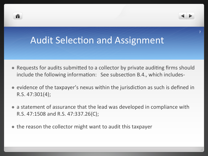# **Audit Selection and Assignment**

n

- Requests for audits submitted to a collector by private auditing firms should include the following information: See subsection B.4., which includes-
- evidence of the taxpayer's nexus within the jurisdiction as such is defined in R.S.  $47:301(4)$ ;
- a statement of assurance that the lead was developed in compliance with R.S. 47:1508 and R.S. 47:337.26(C);
- the reason the collector might want to audit this taxpayer

7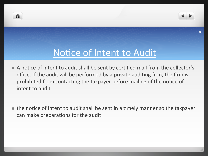

### Notice of Intent to Audit

n

- A notice of intent to audit shall be sent by certified mail from the collector's office. If the audit will be performed by a private auditing firm, the firm is prohibited from contacting the taxpayer before mailing of the notice of intent to audit.
- the notice of intent to audit shall be sent in a timely manner so the taxpayer can make preparations for the audit.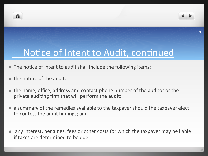



# Notice of Intent to Audit, continued

- The notice of intent to audit shall include the following items:
- the nature of the audit;
- the name, office, address and contact phone number of the auditor or the private auditing firm that will perform the audit;
- a summary of the remedies available to the taxpayer should the taxpayer elect to contest the audit findings; and
- any interest, penalties, fees or other costs for which the taxpayer may be liable if taxes are determined to be due.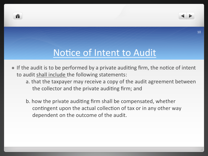

## Notice of Intent to Audit

n

- If the audit is to be performed by a private auditing firm, the notice of intent to audit shall include the following statements:
	- a. that the taxpayer may receive a copy of the audit agreement between the collector and the private auditing firm; and
	- b. how the private auditing firm shall be compensated, whether contingent upon the actual collection of tax or in any other way dependent on the outcome of the audit.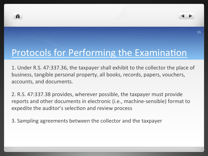



### Protocols for Performing the Examination

1. Under R.S. 47:337.36, the taxpayer shall exhibit to the collector the place of business, tangible personal property, all books, records, papers, vouchers, accounts, and documents.

2. R.S. 47:337.38 provides, wherever possible, the taxpayer must provide reports and other documents in electronic (i.e., machine-sensible) format to expedite the auditor's selection and review process

3. Sampling agreements between the collector and the taxpayer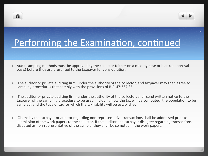



# Performing the Examination, continued

- Audit sampling methods must be approved by the collector (either on a case-by-case or blanket approval basis) before they are presented to the taxpayer for consideration.
- $\bullet$  The auditor or private auditing firm, under the authority of the collector, and taxpayer may then agree to sampling procedures that comply with the provisions of R.S. 47:337.35.
- $\bullet$  The auditor or private auditing firm, under the authority of the collector, shall send written notice to the taxpayer of the sampling procedure to be used, including how the tax will be computed, the population to be sampled, and the type of tax for which the tax liability will be established.
- Claims by the taxpayer or auditor regarding non-representative transactions shall be addressed prior to submission of the work papers to the collector. If the auditor and taxpayer disagree regarding transactions disputed as non-representative of the sample, they shall be so noted in the work papers.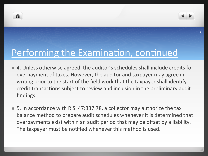



#### Performing the Examination, continued

- 4. Unless otherwise agreed, the auditor's schedules shall include credits for overpayment of taxes. However, the auditor and taxpayer may agree in writing prior to the start of the field work that the taxpayer shall identify credit transactions subject to review and inclusion in the preliminary audit findings.
- 5. In accordance with R.S. 47:337.78, a collector may authorize the tax balance method to prepare audit schedules whenever it is determined that overpayments exist within an audit period that may be offset by a liability. The taxpayer must be notified whenever this method is used.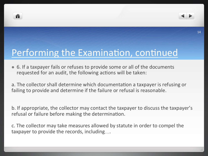



# Performing the Examination, continued

- 6. If a taxpayer fails or refuses to provide some or all of the documents requested for an audit, the following actions will be taken:
- a. The collector shall determine which documentation a taxpayer is refusing or failing to provide and determine if the failure or refusal is reasonable.

b. If appropriate, the collector may contact the taxpayer to discuss the taxpayer's refusal or failure before making the determination.

c. The collector may take measures allowed by statute in order to compel the taxpayer to provide the records, including....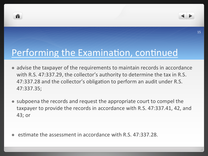



### Performing the Examination, continued

- advise the taxpayer of the requirements to maintain records in accordance with R.S. 47:337.29, the collector's authority to determine the tax in R.S. 47:337.28 and the collector's obligation to perform an audit under R.S. 47:337.35;
- subpoena the records and request the appropriate court to compel the taxpayer to provide the records in accordance with R.S. 47:337.41, 42, and 43; or
- estimate the assessment in accordance with R.S. 47:337.28.